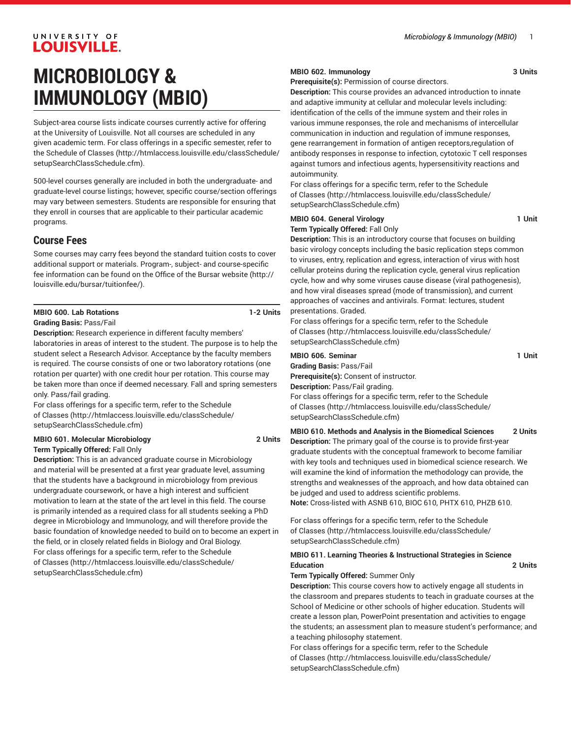# **LOUISVILLE. MICROBIOLOGY & IMMUNOLOGY (MBIO)**

UNIVERSITY OF

Subject-area course lists indicate courses currently active for offering at the University of Louisville. Not all courses are scheduled in any given academic term. For class offerings in a specific semester, refer to the [Schedule of Classes](http://htmlaccess.louisville.edu/classSchedule/setupSearchClassSchedule.cfm) ([http://htmlaccess.louisville.edu/classSchedule/](http://htmlaccess.louisville.edu/classSchedule/setupSearchClassSchedule.cfm) [setupSearchClassSchedule.cfm\)](http://htmlaccess.louisville.edu/classSchedule/setupSearchClassSchedule.cfm).

500-level courses generally are included in both the undergraduate- and graduate-level course listings; however, specific course/section offerings may vary between semesters. Students are responsible for ensuring that they enroll in courses that are applicable to their particular academic programs.

# **Course Fees**

Some courses may carry fees beyond the standard tuition costs to cover additional support or materials. Program-, subject- and course-specific fee information can be found on the [Office of the Bursar website](http://louisville.edu/bursar/tuitionfee/) ([http://](http://louisville.edu/bursar/tuitionfee/) [louisville.edu/bursar/tuitionfee/](http://louisville.edu/bursar/tuitionfee/)).

## **MBIO 600. Lab Rotations 1-2 Units**

**Grading Basis:** Pass/Fail

**Description:** Research experience in different faculty members' laboratories in areas of interest to the student. The purpose is to help the student select a Research Advisor. Acceptance by the faculty members is required. The course consists of one or two laboratory rotations (one rotation per quarter) with one credit hour per rotation. This course may be taken more than once if deemed necessary. Fall and spring semesters only. Pass/fail grading.

For class offerings for a specific term, refer to the [Schedule](http://htmlaccess.louisville.edu/classSchedule/setupSearchClassSchedule.cfm) [of Classes \(http://htmlaccess.louisville.edu/classSchedule/](http://htmlaccess.louisville.edu/classSchedule/setupSearchClassSchedule.cfm) [setupSearchClassSchedule.cfm\)](http://htmlaccess.louisville.edu/classSchedule/setupSearchClassSchedule.cfm)

## **MBIO 601. Molecular Microbiology 2 Units**

#### **Term Typically Offered:** Fall Only

**Description:** This is an advanced graduate course in Microbiology and material will be presented at a first year graduate level, assuming that the students have a background in microbiology from previous undergraduate coursework, or have a high interest and sufficient motivation to learn at the state of the art level in this field. The course is primarily intended as a required class for all students seeking a PhD degree in Microbiology and Immunology, and will therefore provide the basic foundation of knowledge needed to build on to become an expert in the field, or in closely related fields in Biology and Oral Biology. For class offerings for a specific term, refer to the [Schedule](http://htmlaccess.louisville.edu/classSchedule/setupSearchClassSchedule.cfm) [of Classes \(http://htmlaccess.louisville.edu/classSchedule/](http://htmlaccess.louisville.edu/classSchedule/setupSearchClassSchedule.cfm) [setupSearchClassSchedule.cfm\)](http://htmlaccess.louisville.edu/classSchedule/setupSearchClassSchedule.cfm)

## **MBIO 602. Immunology 3 Units**

**Prerequisite(s):** Permission of course directors.

**Description:** This course provides an advanced introduction to innate and adaptive immunity at cellular and molecular levels including: identification of the cells of the immune system and their roles in various immune responses, the role and mechanisms of intercellular communication in induction and regulation of immune responses, gene rearrangement in formation of antigen receptors,regulation of antibody responses in response to infection, cytotoxic T cell responses against tumors and infectious agents, hypersensitivity reactions and autoimmunity.

For class offerings for a specific term, refer to the [Schedule](http://htmlaccess.louisville.edu/classSchedule/setupSearchClassSchedule.cfm) [of Classes](http://htmlaccess.louisville.edu/classSchedule/setupSearchClassSchedule.cfm) ([http://htmlaccess.louisville.edu/classSchedule/](http://htmlaccess.louisville.edu/classSchedule/setupSearchClassSchedule.cfm) [setupSearchClassSchedule.cfm\)](http://htmlaccess.louisville.edu/classSchedule/setupSearchClassSchedule.cfm)

#### **MBIO 604. General Virology** 1 Unit **Term Typically Offered:** Fall Only

**Description:** This is an introductory course that focuses on building basic virology concepts including the basic replication steps common to viruses, entry, replication and egress, interaction of virus with host cellular proteins during the replication cycle, general virus replication cycle, how and why some viruses cause disease (viral pathogenesis), and how viral diseases spread (mode of transmission), and current approaches of vaccines and antivirals. Format: lectures, student presentations. Graded.

For class offerings for a specific term, refer to the [Schedule](http://htmlaccess.louisville.edu/classSchedule/setupSearchClassSchedule.cfm) [of Classes](http://htmlaccess.louisville.edu/classSchedule/setupSearchClassSchedule.cfm) ([http://htmlaccess.louisville.edu/classSchedule/](http://htmlaccess.louisville.edu/classSchedule/setupSearchClassSchedule.cfm) [setupSearchClassSchedule.cfm\)](http://htmlaccess.louisville.edu/classSchedule/setupSearchClassSchedule.cfm)

#### **MBIO 606. Seminar 1 Unit**

**Grading Basis:** Pass/Fail

**Prerequisite(s):** Consent of instructor.

**Description:** Pass/Fail grading.

For class offerings for a specific term, refer to the [Schedule](http://htmlaccess.louisville.edu/classSchedule/setupSearchClassSchedule.cfm) [of Classes](http://htmlaccess.louisville.edu/classSchedule/setupSearchClassSchedule.cfm) ([http://htmlaccess.louisville.edu/classSchedule/](http://htmlaccess.louisville.edu/classSchedule/setupSearchClassSchedule.cfm) [setupSearchClassSchedule.cfm\)](http://htmlaccess.louisville.edu/classSchedule/setupSearchClassSchedule.cfm)

**MBIO 610. Methods and Analysis in the Biomedical Sciences 2 Units Description:** The primary goal of the course is to provide first-year graduate students with the conceptual framework to become familiar with key tools and techniques used in biomedical science research. We will examine the kind of information the methodology can provide, the strengths and weaknesses of the approach, and how data obtained can be judged and used to address scientific problems. **Note:** Cross-listed with ASNB 610, BIOC 610, PHTX 610, PHZB 610.

For class offerings for a specific term, refer to the [Schedule](http://htmlaccess.louisville.edu/classSchedule/setupSearchClassSchedule.cfm) [of Classes](http://htmlaccess.louisville.edu/classSchedule/setupSearchClassSchedule.cfm) ([http://htmlaccess.louisville.edu/classSchedule/](http://htmlaccess.louisville.edu/classSchedule/setupSearchClassSchedule.cfm) [setupSearchClassSchedule.cfm\)](http://htmlaccess.louisville.edu/classSchedule/setupSearchClassSchedule.cfm)

#### **MBIO 611. Learning Theories & Instructional Strategies in Science Education 2 Units**

**Term Typically Offered:** Summer Only

**Description:** This course covers how to actively engage all students in the classroom and prepares students to teach in graduate courses at the School of Medicine or other schools of higher education. Students will create a lesson plan, PowerPoint presentation and activities to engage the students; an assessment plan to measure student's performance; and a teaching philosophy statement.

For class offerings for a specific term, refer to the [Schedule](http://htmlaccess.louisville.edu/classSchedule/setupSearchClassSchedule.cfm) [of Classes](http://htmlaccess.louisville.edu/classSchedule/setupSearchClassSchedule.cfm) ([http://htmlaccess.louisville.edu/classSchedule/](http://htmlaccess.louisville.edu/classSchedule/setupSearchClassSchedule.cfm) [setupSearchClassSchedule.cfm\)](http://htmlaccess.louisville.edu/classSchedule/setupSearchClassSchedule.cfm)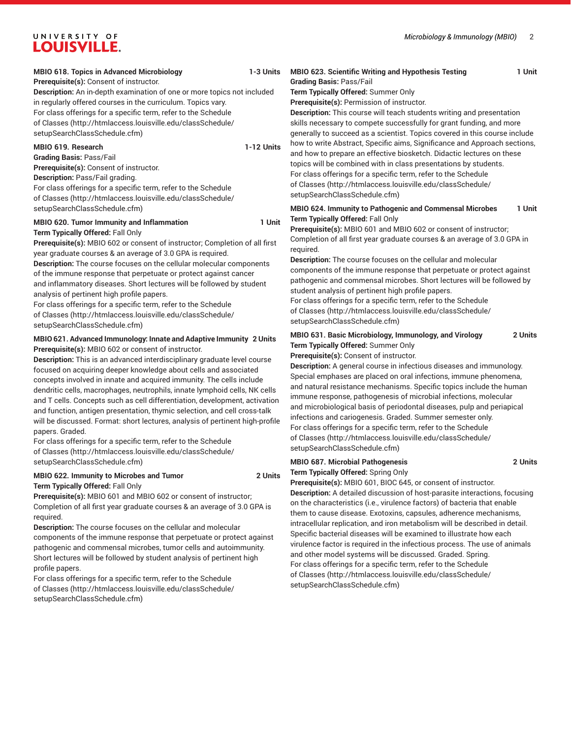# UNIVERSITY OF **LOUISVILLE.**

#### **MBIO 618. Topics in Advanced Microbiology 1-3 Units**

**Prerequisite(s):** Consent of instructor.

**Description:** An in-depth examination of one or more topics not included in regularly offered courses in the curriculum. Topics vary. For class offerings for a specific term, refer to the [Schedule](http://htmlaccess.louisville.edu/classSchedule/setupSearchClassSchedule.cfm) [of Classes \(http://htmlaccess.louisville.edu/classSchedule/](http://htmlaccess.louisville.edu/classSchedule/setupSearchClassSchedule.cfm) [setupSearchClassSchedule.cfm\)](http://htmlaccess.louisville.edu/classSchedule/setupSearchClassSchedule.cfm)

#### **MBIO 619. Research 1-12 Units**

**Grading Basis:** Pass/Fail

**Prerequisite(s):** Consent of instructor. **Description:** Pass/Fail grading. For class offerings for a specific term, refer to the [Schedule](http://htmlaccess.louisville.edu/classSchedule/setupSearchClassSchedule.cfm)

[of Classes \(http://htmlaccess.louisville.edu/classSchedule/](http://htmlaccess.louisville.edu/classSchedule/setupSearchClassSchedule.cfm) [setupSearchClassSchedule.cfm\)](http://htmlaccess.louisville.edu/classSchedule/setupSearchClassSchedule.cfm)

#### **MBIO 620. Tumor Immunity and Inflammation 1 Unit Term Typically Offered:** Fall Only

**Prerequisite(s):** MBIO 602 or consent of instructor; Completion of all first year graduate courses & an average of 3.0 GPA is required.

**Description:** The course focuses on the cellular molecular components of the immune response that perpetuate or protect against cancer and inflammatory diseases. Short lectures will be followed by student analysis of pertinent high profile papers.

For class offerings for a specific term, refer to the [Schedule](http://htmlaccess.louisville.edu/classSchedule/setupSearchClassSchedule.cfm) [of Classes \(http://htmlaccess.louisville.edu/classSchedule/](http://htmlaccess.louisville.edu/classSchedule/setupSearchClassSchedule.cfm) [setupSearchClassSchedule.cfm\)](http://htmlaccess.louisville.edu/classSchedule/setupSearchClassSchedule.cfm)

#### **MBIO 621. Advanced Immunology: Innate and Adaptive Immunity 2 Units Prerequisite(s):** MBIO 602 or consent of instructor.

**Description:** This is an advanced interdisciplinary graduate level course focused on acquiring deeper knowledge about cells and associated concepts involved in innate and acquired immunity. The cells include dendritic cells, macrophages, neutrophils, innate lymphoid cells, NK cells and T cells. Concepts such as cell differentiation, development, activation and function, antigen presentation, thymic selection, and cell cross-talk will be discussed. Format: short lectures, analysis of pertinent high-profile papers. Graded.

For class offerings for a specific term, refer to the [Schedule](http://htmlaccess.louisville.edu/classSchedule/setupSearchClassSchedule.cfm) [of Classes \(http://htmlaccess.louisville.edu/classSchedule/](http://htmlaccess.louisville.edu/classSchedule/setupSearchClassSchedule.cfm) [setupSearchClassSchedule.cfm\)](http://htmlaccess.louisville.edu/classSchedule/setupSearchClassSchedule.cfm)

#### **MBIO 622. Immunity to Microbes and Tumor 2 Units Term Typically Offered:** Fall Only

**Prerequisite(s):** MBIO 601 and MBIO 602 or consent of instructor; Completion of all first year graduate courses & an average of 3.0 GPA is required.

**Description:** The course focuses on the cellular and molecular components of the immune response that perpetuate or protect against pathogenic and commensal microbes, tumor cells and autoimmunity. Short lectures will be followed by student analysis of pertinent high profile papers.

For class offerings for a specific term, refer to the [Schedule](http://htmlaccess.louisville.edu/classSchedule/setupSearchClassSchedule.cfm) [of Classes \(http://htmlaccess.louisville.edu/classSchedule/](http://htmlaccess.louisville.edu/classSchedule/setupSearchClassSchedule.cfm) [setupSearchClassSchedule.cfm\)](http://htmlaccess.louisville.edu/classSchedule/setupSearchClassSchedule.cfm)

# **MBIO 623. Scientific Writing and Hypothesis Testing 1 Unit Grading Basis:** Pass/Fail **Term Typically Offered:** Summer Only **Prerequisite(s):** Permission of instructor.

**Description:** This course will teach students writing and presentation skills necessary to compete successfully for grant funding, and more generally to succeed as a scientist. Topics covered in this course include how to write Abstract, Specific aims, Significance and Approach sections, and how to prepare an effective biosketch. Didactic lectures on these topics will be combined with in class presentations by students. For class offerings for a specific term, refer to the [Schedule](http://htmlaccess.louisville.edu/classSchedule/setupSearchClassSchedule.cfm) [of Classes](http://htmlaccess.louisville.edu/classSchedule/setupSearchClassSchedule.cfm) ([http://htmlaccess.louisville.edu/classSchedule/](http://htmlaccess.louisville.edu/classSchedule/setupSearchClassSchedule.cfm) [setupSearchClassSchedule.cfm\)](http://htmlaccess.louisville.edu/classSchedule/setupSearchClassSchedule.cfm)

#### **MBIO 624. Immunity to Pathogenic and Commensal Microbes 1 Unit Term Typically Offered:** Fall Only

**Prerequisite(s):** MBIO 601 and MBIO 602 or consent of instructor; Completion of all first year graduate courses & an average of 3.0 GPA in required.

**Description:** The course focuses on the cellular and molecular components of the immune response that perpetuate or protect against pathogenic and commensal microbes. Short lectures will be followed by student analysis of pertinent high profile papers.

For class offerings for a specific term, refer to the [Schedule](http://htmlaccess.louisville.edu/classSchedule/setupSearchClassSchedule.cfm) [of Classes](http://htmlaccess.louisville.edu/classSchedule/setupSearchClassSchedule.cfm) ([http://htmlaccess.louisville.edu/classSchedule/](http://htmlaccess.louisville.edu/classSchedule/setupSearchClassSchedule.cfm) [setupSearchClassSchedule.cfm\)](http://htmlaccess.louisville.edu/classSchedule/setupSearchClassSchedule.cfm)

#### **MBIO 631. Basic Microbiology, Immunology, and Virology 2 Units Term Typically Offered:** Summer Only

**Prerequisite(s):** Consent of instructor.

**Description:** A general course in infectious diseases and immunology. Special emphases are placed on oral infections, immune phenomena, and natural resistance mechanisms. Specific topics include the human immune response, pathogenesis of microbial infections, molecular and microbiological basis of periodontal diseases, pulp and periapical infections and cariogenesis. Graded. Summer semester only. For class offerings for a specific term, refer to the [Schedule](http://htmlaccess.louisville.edu/classSchedule/setupSearchClassSchedule.cfm) [of Classes](http://htmlaccess.louisville.edu/classSchedule/setupSearchClassSchedule.cfm) ([http://htmlaccess.louisville.edu/classSchedule/](http://htmlaccess.louisville.edu/classSchedule/setupSearchClassSchedule.cfm) [setupSearchClassSchedule.cfm\)](http://htmlaccess.louisville.edu/classSchedule/setupSearchClassSchedule.cfm)

## **MBIO 687. Microbial Pathogenesis 2 Units Term Typically Offered:** Spring Only

**Prerequisite(s):** MBIO 601, BIOC 645, or consent of instructor. **Description:** A detailed discussion of host-parasite interactions, focusing on the characteristics (i.e., virulence factors) of bacteria that enable them to cause disease. Exotoxins, capsules, adherence mechanisms, intracellular replication, and iron metabolism will be described in detail. Specific bacterial diseases will be examined to illustrate how each virulence factor is required in the infectious process. The use of animals and other model systems will be discussed. Graded. Spring. For class offerings for a specific term, refer to the [Schedule](http://htmlaccess.louisville.edu/classSchedule/setupSearchClassSchedule.cfm) [of Classes](http://htmlaccess.louisville.edu/classSchedule/setupSearchClassSchedule.cfm) ([http://htmlaccess.louisville.edu/classSchedule/](http://htmlaccess.louisville.edu/classSchedule/setupSearchClassSchedule.cfm) [setupSearchClassSchedule.cfm\)](http://htmlaccess.louisville.edu/classSchedule/setupSearchClassSchedule.cfm)